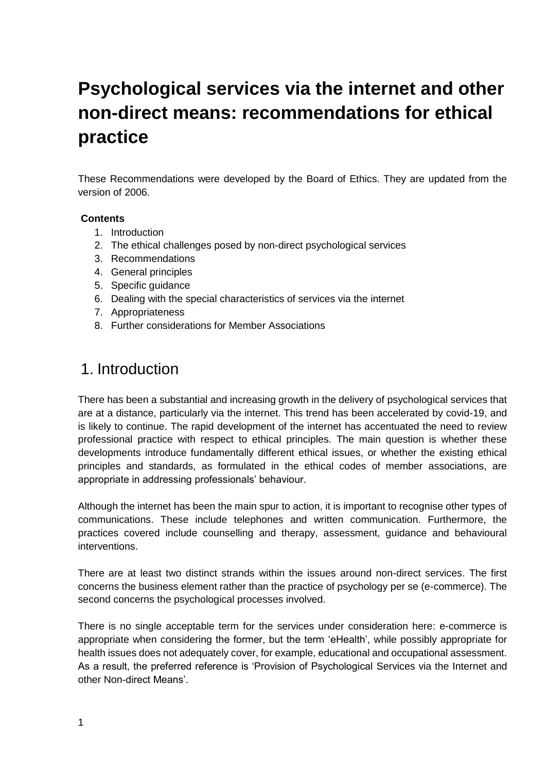# **Psychological services via the internet and other non-direct means: recommendations for ethical practice**

These Recommendations were developed by the Board of Ethics. They are updated from the version of 2006.

#### **Contents**

- 1. Introduction
- 2. The ethical challenges posed by non-direct psychological services
- 3. Recommendations
- 4. General principles
- 5. Specific guidance
- 6. Dealing with the special characteristics of services via the internet
- 7. Appropriateness
- 8. Further considerations for Member Associations

### 1. Introduction

There has been a substantial and increasing growth in the delivery of psychological services that are at a distance, particularly via the internet. This trend has been accelerated by covid-19, and is likely to continue. The rapid development of the internet has accentuated the need to review professional practice with respect to ethical principles. The main question is whether these developments introduce fundamentally different ethical issues, or whether the existing ethical principles and standards, as formulated in the ethical codes of member associations, are appropriate in addressing professionals' behaviour.

Although the internet has been the main spur to action, it is important to recognise other types of communications. These include telephones and written communication. Furthermore, the practices covered include counselling and therapy, assessment, guidance and behavioural interventions.

There are at least two distinct strands within the issues around non-direct services. The first concerns the business element rather than the practice of psychology per se (e-commerce). The second concerns the psychological processes involved.

There is no single acceptable term for the services under consideration here: e-commerce is appropriate when considering the former, but the term 'eHealth', while possibly appropriate for health issues does not adequately cover, for example, educational and occupational assessment. As a result, the preferred reference is 'Provision of Psychological Services via the Internet and other Non-direct Means'.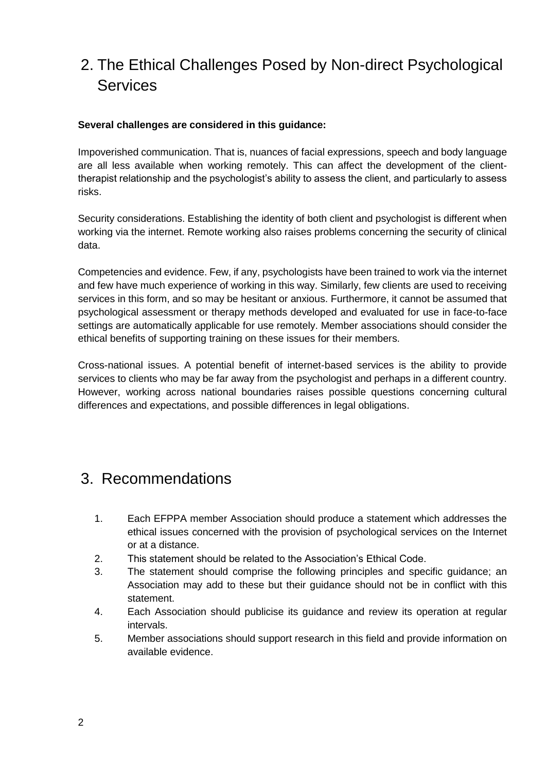# 2. The Ethical Challenges Posed by Non-direct Psychological **Services**

#### **Several challenges are considered in this guidance:**

Impoverished communication. That is, nuances of facial expressions, speech and body language are all less available when working remotely. This can affect the development of the clienttherapist relationship and the psychologist's ability to assess the client, and particularly to assess risks.

Security considerations. Establishing the identity of both client and psychologist is different when working via the internet. Remote working also raises problems concerning the security of clinical data.

Competencies and evidence. Few, if any, psychologists have been trained to work via the internet and few have much experience of working in this way. Similarly, few clients are used to receiving services in this form, and so may be hesitant or anxious. Furthermore, it cannot be assumed that psychological assessment or therapy methods developed and evaluated for use in face-to-face settings are automatically applicable for use remotely. Member associations should consider the ethical benefits of supporting training on these issues for their members.

Cross-national issues. A potential benefit of internet-based services is the ability to provide services to clients who may be far away from the psychologist and perhaps in a different country. However, working across national boundaries raises possible questions concerning cultural differences and expectations, and possible differences in legal obligations.

### 3. Recommendations

- 1. Each EFPPA member Association should produce a statement which addresses the ethical issues concerned with the provision of psychological services on the Internet or at a distance.
- 2. This statement should be related to the Association's Ethical Code.
- 3. The statement should comprise the following principles and specific guidance; an Association may add to these but their guidance should not be in conflict with this statement.
- 4. Each Association should publicise its guidance and review its operation at regular intervals.
- 5. Member associations should support research in this field and provide information on available evidence.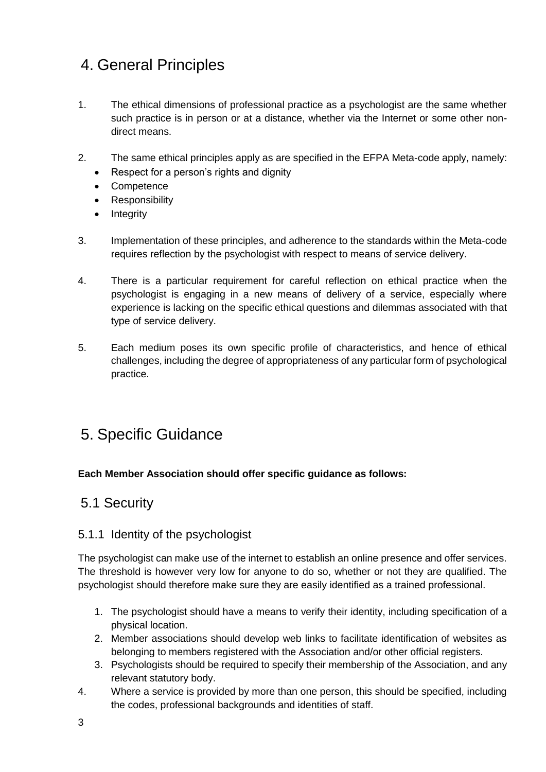# 4. General Principles

- 1. The ethical dimensions of professional practice as a psychologist are the same whether such practice is in person or at a distance, whether via the Internet or some other nondirect means.
- 2. The same ethical principles apply as are specified in the EFPA Meta-code apply, namely:
	- Respect for a person's rights and dignity
	- Competence
	- Responsibility
	- Integrity
- 3. Implementation of these principles, and adherence to the standards within the Meta-code requires reflection by the psychologist with respect to means of service delivery.
- 4. There is a particular requirement for careful reflection on ethical practice when the psychologist is engaging in a new means of delivery of a service, especially where experience is lacking on the specific ethical questions and dilemmas associated with that type of service delivery.
- 5. Each medium poses its own specific profile of characteristics, and hence of ethical challenges, including the degree of appropriateness of any particular form of psychological practice.

# 5. Specific Guidance

#### **Each Member Association should offer specific guidance as follows:**

### 5.1 Security

#### 5.1.1 Identity of the psychologist

The psychologist can make use of the internet to establish an online presence and offer services. The threshold is however very low for anyone to do so, whether or not they are qualified. The psychologist should therefore make sure they are easily identified as a trained professional.

- 1. The psychologist should have a means to verify their identity, including specification of a physical location.
- 2. Member associations should develop web links to facilitate identification of websites as belonging to members registered with the Association and/or other official registers.
- 3. Psychologists should be required to specify their membership of the Association, and any relevant statutory body.
- 4. Where a service is provided by more than one person, this should be specified, including the codes, professional backgrounds and identities of staff.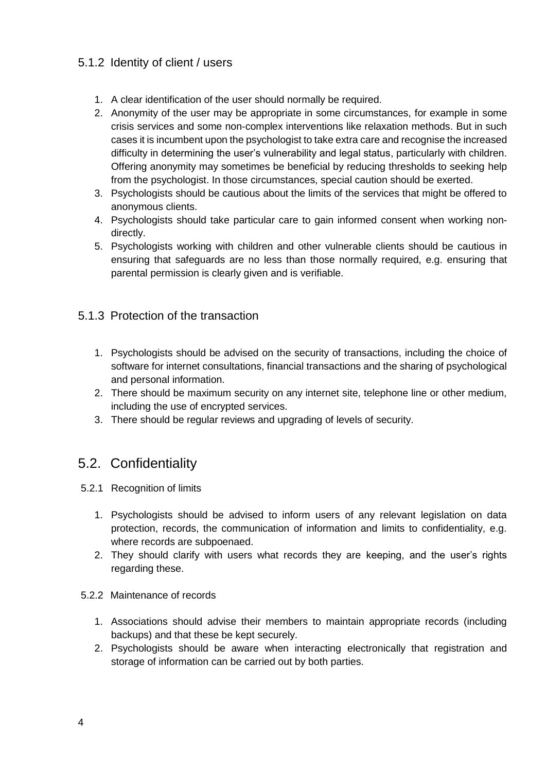### 5.1.2 Identity of client / users

- 1. A clear identification of the user should normally be required.
- 2. Anonymity of the user may be appropriate in some circumstances, for example in some crisis services and some non-complex interventions like relaxation methods. But in such cases it is incumbent upon the psychologist to take extra care and recognise the increased difficulty in determining the user's vulnerability and legal status, particularly with children. Offering anonymity may sometimes be beneficial by reducing thresholds to seeking help from the psychologist. In those circumstances, special caution should be exerted.
- 3. Psychologists should be cautious about the limits of the services that might be offered to anonymous clients.
- 4. Psychologists should take particular care to gain informed consent when working nondirectly.
- 5. Psychologists working with children and other vulnerable clients should be cautious in ensuring that safeguards are no less than those normally required, e.g. ensuring that parental permission is clearly given and is verifiable.

#### 5.1.3 Protection of the transaction

- 1. Psychologists should be advised on the security of transactions, including the choice of software for internet consultations, financial transactions and the sharing of psychological and personal information.
- 2. There should be maximum security on any internet site, telephone line or other medium, including the use of encrypted services.
- 3. There should be regular reviews and upgrading of levels of security.

### 5.2. Confidentiality

- 5.2.1 Recognition of limits
	- 1. Psychologists should be advised to inform users of any relevant legislation on data protection, records, the communication of information and limits to confidentiality, e.g. where records are subpoenaed.
	- 2. They should clarify with users what records they are keeping, and the user's rights regarding these.
- 5.2.2 Maintenance of records
	- 1. Associations should advise their members to maintain appropriate records (including backups) and that these be kept securely.
	- 2. Psychologists should be aware when interacting electronically that registration and storage of information can be carried out by both parties.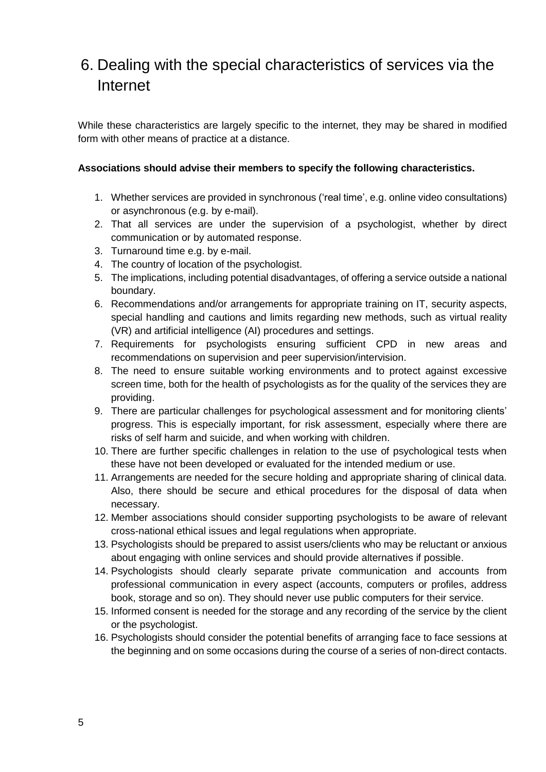# 6. Dealing with the special characteristics of services via the Internet

While these characteristics are largely specific to the internet, they may be shared in modified form with other means of practice at a distance.

#### **Associations should advise their members to specify the following characteristics.**

- 1. Whether services are provided in synchronous ('real time', e.g. online video consultations) or asynchronous (e.g. by e-mail).
- 2. That all services are under the supervision of a psychologist, whether by direct communication or by automated response.
- 3. Turnaround time e.g. by e-mail.
- 4. The country of location of the psychologist.
- 5. The implications, including potential disadvantages, of offering a service outside a national boundary.
- 6. Recommendations and/or arrangements for appropriate training on IT, security aspects, special handling and cautions and limits regarding new methods, such as virtual reality (VR) and artificial intelligence (AI) procedures and settings.
- 7. Requirements for psychologists ensuring sufficient CPD in new areas and recommendations on supervision and peer supervision/intervision.
- 8. The need to ensure suitable working environments and to protect against excessive screen time, both for the health of psychologists as for the quality of the services they are providing.
- 9. There are particular challenges for psychological assessment and for monitoring clients' progress. This is especially important, for risk assessment, especially where there are risks of self harm and suicide, and when working with children.
- 10. There are further specific challenges in relation to the use of psychological tests when these have not been developed or evaluated for the intended medium or use.
- 11. Arrangements are needed for the secure holding and appropriate sharing of clinical data. Also, there should be secure and ethical procedures for the disposal of data when necessary.
- 12. Member associations should consider supporting psychologists to be aware of relevant cross-national ethical issues and legal regulations when appropriate.
- 13. Psychologists should be prepared to assist users/clients who may be reluctant or anxious about engaging with online services and should provide alternatives if possible.
- 14. Psychologists should clearly separate private communication and accounts from professional communication in every aspect (accounts, computers or profiles, address book, storage and so on). They should never use public computers for their service.
- 15. Informed consent is needed for the storage and any recording of the service by the client or the psychologist.
- 16. Psychologists should consider the potential benefits of arranging face to face sessions at the beginning and on some occasions during the course of a series of non-direct contacts.